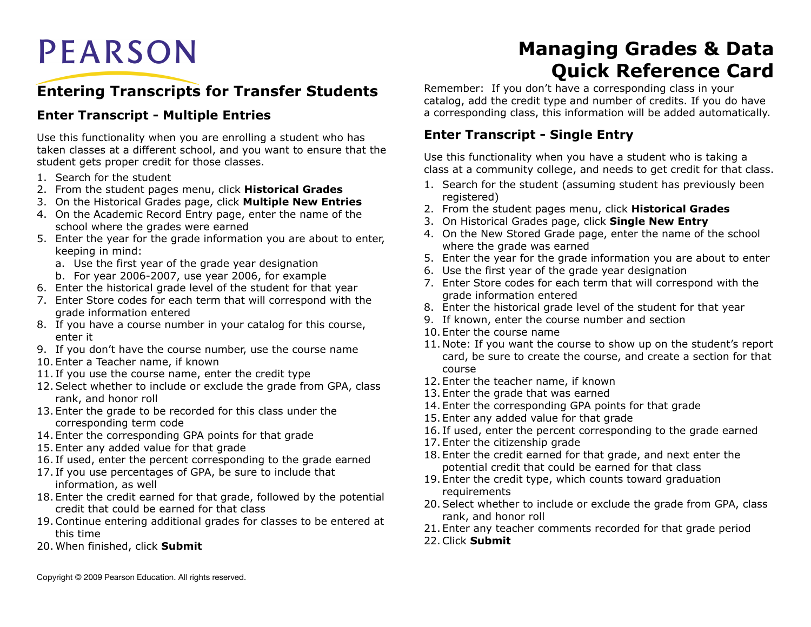# **PEARSON**

# **Entering Transcripts for Transfer Students**

#### **Enter Transcript - Multiple Entries**

Use this functionality when you are enrolling a student who has taken classes at a different school, and you want to ensure that the student gets proper credit for those classes.

- 1. Search for the student
- 2. From the student pages menu, click **Historical Grades**
- 3. On the Historical Grades page, click **Multiple New Entries**
- 4. On the Academic Record Entry page, enter the name of the school where the grades were earned
- 5. Enter the year for the grade information you are about to enter, keeping in mind:
	- a. Use the first year of the grade year designation
	- b. For year 2006-2007, use year 2006, for example
- 6. Enter the historical grade level of the student for that year
- 7. Enter Store codes for each term that will correspond with the grade information entered
- 8. If you have a course number in your catalog for this course, enter it
- 9. If you don't have the course number, use the course name
- 10. Enter a Teacher name, if known
- 11. If you use the course name, enter the credit type
- 12.Select whether to include or exclude the grade from GPA, class rank, and honor roll
- 13. Enter the grade to be recorded for this class under the corresponding term code
- 14. Enter the corresponding GPA points for that grade
- 15. Enter any added value for that grade
- 16. If used, enter the percent corresponding to the grade earned
- 17. If you use percentages of GPA, be sure to include that information, as well
- 18. Enter the credit earned for that grade, followed by the potential credit that could be earned for that class
- 19.Continue entering additional grades for classes to be entered at this time
- 20.When finished, click **Submit**

# **Managing Grades & Data Quick Reference Card**

Remember: If you don't have a corresponding class in your catalog, add the credit type and number of credits. If you do have a corresponding class, this information will be added automatically.

#### **Enter Transcript - Single Entry**

Use this functionality when you have a student who is taking a class at a community college, and needs to get credit for that class.

- 1. Search for the student (assuming student has previously been registered)
- 2. From the student pages menu, click **Historical Grades**
- 3. On Historical Grades page, click **Single New Entry**
- 4. On the New Stored Grade page, enter the name of the school where the grade was earned
- 5. Enter the year for the grade information you are about to enter
- 6. Use the first year of the grade year designation
- 7. Enter Store codes for each term that will correspond with the grade information entered
- 8. Enter the historical grade level of the student for that year
- 9. If known, enter the course number and section
- 10. Enter the course name
- 11. Note: If you want the course to show up on the student's report card, be sure to create the course, and create a section for that course
- 12. Enter the teacher name, if known
- 13. Enter the grade that was earned
- 14. Enter the corresponding GPA points for that grade
- 15. Enter any added value for that grade
- 16. If used, enter the percent corresponding to the grade earned
- 17. Enter the citizenship grade
- 18. Enter the credit earned for that grade, and next enter the potential credit that could be earned for that class
- 19. Enter the credit type, which counts toward graduation requirements
- 20.Select whether to include or exclude the grade from GPA, class rank, and honor roll
- 21. Enter any teacher comments recorded for that grade period
- 22.Click **Submit**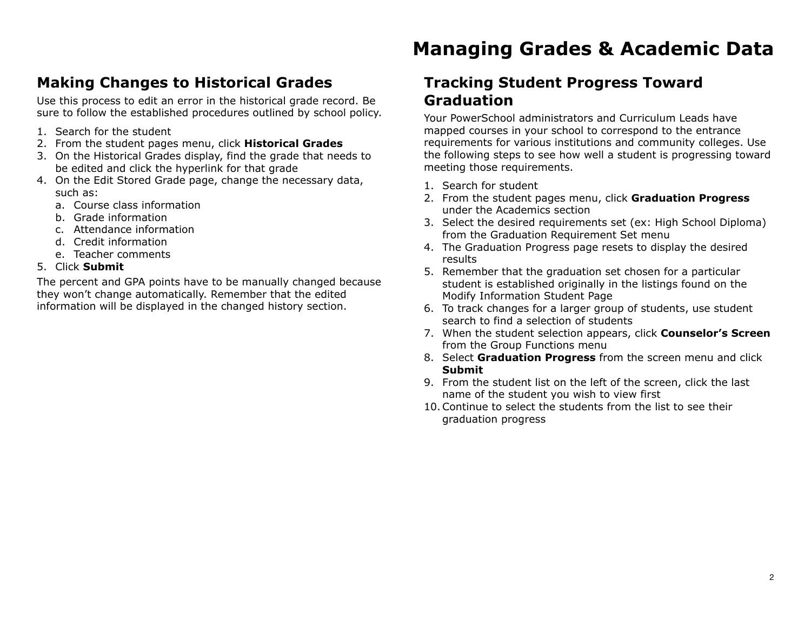# **Making Changes to Historical Grades**

Use this process to edit an error in the historical grade record. Be sure to follow the established procedures outlined by school policy.

- 1. Search for the student
- 2. From the student pages menu, click **Historical Grades**
- 3. On the Historical Grades display, find the grade that needs to be edited and click the hyperlink for that grade
- 4. On the Edit Stored Grade page, change the necessary data, such as:
	- a. Course class information
	- b. Grade information
	- c. Attendance information
	- d. Credit information
	- e. Teacher comments
- 5. Click **Submit**

The percent and GPA points have to be manually changed because they won't change automatically. Remember that the edited information will be displayed in the changed history section.

# **Managing Grades & Academic Data**

### **Tracking Student Progress Toward Graduation**

Your PowerSchool administrators and Curriculum Leads have mapped courses in your school to correspond to the entrance requirements for various institutions and community colleges. Use the following steps to see how well a student is progressing toward meeting those requirements.

- 1. Search for student
- 2. From the student pages menu, click **Graduation Progress** under the Academics section
- 3. Select the desired requirements set (ex: High School Diploma) from the Graduation Requirement Set menu
- 4. The Graduation Progress page resets to display the desired results
- 5. Remember that the graduation set chosen for a particular student is established originally in the listings found on the Modify Information Student Page
- 6. To track changes for a larger group of students, use student search to find a selection of students
- 7. When the student selection appears, click **Counselor's Screen** from the Group Functions menu
- 8. Select **Graduation Progress** from the screen menu and click **Submit**
- 9. From the student list on the left of the screen, click the last name of the student you wish to view first
- 10.Continue to select the students from the list to see their graduation progress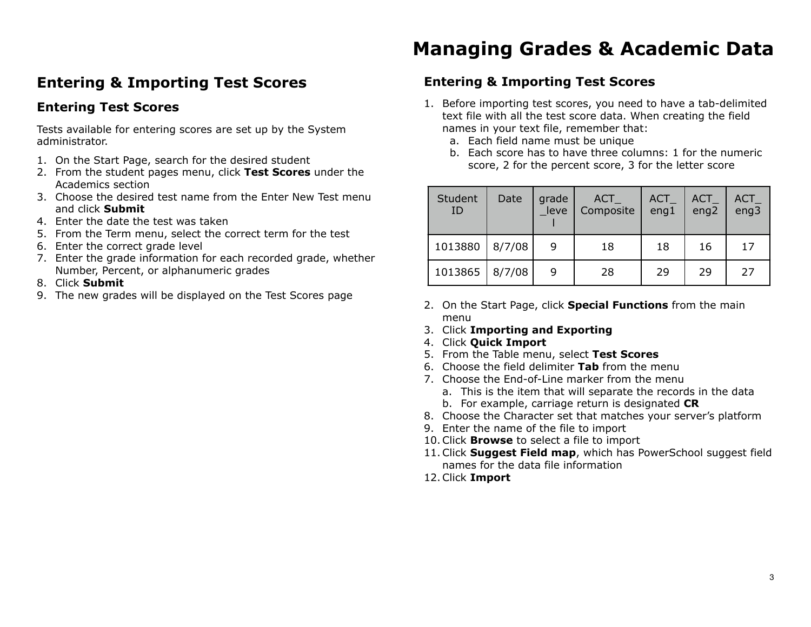### **Entering & Importing Test Scores**

#### **Entering Test Scores**

Tests available for entering scores are set up by the System administrator.

- 1. On the Start Page, search for the desired student
- 2. From the student pages menu, click **Test Scores** under the Academics section
- 3. Choose the desired test name from the Enter New Test menu and click **Submit**
- 4. Enter the date the test was taken
- 5. From the Term menu, select the correct term for the test
- 6. Enter the correct grade level
- 7. Enter the grade information for each recorded grade, whether Number, Percent, or alphanumeric grades
- 8. Click **Submit**
- 9. The new grades will be displayed on the Test Scores page

# **Managing Grades & Academic Data**

### **Entering & Importing Test Scores**

- 1. Before importing test scores, you need to have a tab-delimited text file with all the test score data. When creating the field names in your text file, remember that:
	- a. Each field name must be unique
	- b. Each score has to have three columns: 1 for the numeric score, 2 for the percent score, 3 for the letter score

| Student<br>ID | Date   | grade<br>leve | <b>ACT</b><br>Composite | $ACT-$<br>eng1 | ACT<br>eng2 | $ACT_$<br>eng3 |
|---------------|--------|---------------|-------------------------|----------------|-------------|----------------|
| 1013880       | 8/7/08 | 9             | 18                      | 18             | 16          | 17             |
| 1013865       | 8/7/08 | 9             | 28                      | 29             | 29          | 27             |

- 2. On the Start Page, click **Special Functions** from the main menu
- 3. Click **Importing and Exporting**
- 4. Click **Quick Import**
- 5. From the Table menu, select **Test Scores**
- 6. Choose the field delimiter **Tab** from the menu
- 7. Choose the End-of-Line marker from the menu
	- a. This is the item that will separate the records in the data
	- b. For example, carriage return is designated **CR**
- 8. Choose the Character set that matches your server's platform
- 9. Enter the name of the file to import
- 10.Click **Browse** to select a file to import
- 11.Click **Suggest Field map**, which has PowerSchool suggest field names for the data file information
- 12.Click **Import**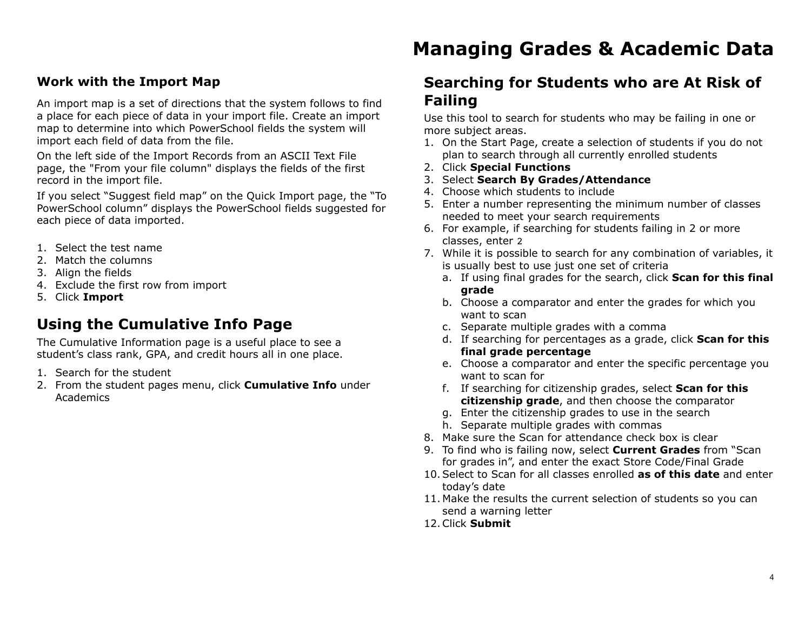#### **Work with the Import Map**

An import map is a set of directions that the system follows to find a place for each piece of data in your import file. Create an import map to determine into which PowerSchool fields the system will import each field of data from the file.

On the left side of the Import Records from an ASCII Text File page, the "From your file column" displays the fields of the first record in the import file.

If you select "Suggest field map" on the Quick Import page, the "To PowerSchool column" displays the PowerSchool fields suggested for each piece of data imported.

- 1. Select the test name
- 2. Match the columns
- 3. Align the fields
- 4. Exclude the first row from import
- 5. Click **Import**

### **Using the Cumulative Info Page**

The Cumulative Information page is a useful place to see a student's class rank, GPA, and credit hours all in one place.

- 1. Search for the student
- 2. From the student pages menu, click **Cumulative Info** under Academics

# **Managing Grades & Academic Data**

### **Searching for Students who are At Risk of Failing**

Use this tool to search for students who may be failing in one or more subject areas.

- 1. On the Start Page, create a selection of students if you do not plan to search through all currently enrolled students
- 2. Click **Special Functions**
- 3. Select **Search By Grades/Attendance**
- 4. Choose which students to include
- 5. Enter a number representing the minimum number of classes needed to meet your search requirements
- 6. For example, if searching for students failing in 2 or more classes, enter 2
- 7. While it is possible to search for any combination of variables, it is usually best to use just one set of criteria
	- a. If using final grades for the search, click **Scan for this final grade**
	- b. Choose a comparator and enter the grades for which you want to scan
	- c. Separate multiple grades with a comma
	- d. If searching for percentages as a grade, click **Scan for this final grade percentage**
	- e. Choose a comparator and enter the specific percentage you want to scan for
	- f. If searching for citizenship grades, select **Scan for this citizenship grade**, and then choose the comparator
	- g. Enter the citizenship grades to use in the search
	- h. Separate multiple grades with commas
- 8. Make sure the Scan for attendance check box is clear
- 9. To find who is failing now, select **Current Grades** from "Scan for grades in", and enter the exact Store Code/Final Grade
- 10.Select to Scan for all classes enrolled **as of this date** and enter today's date
- 11. Make the results the current selection of students so you can send a warning letter
- 12.Click **Submit**